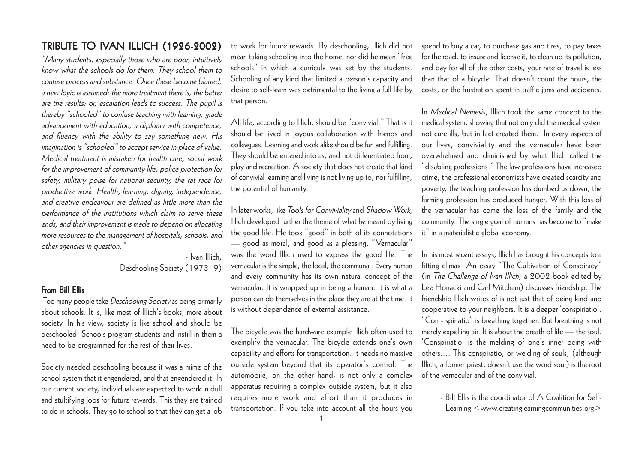# TRIBUTE TO IVAN ILLICH (1926-2002) to work for future rewards. By deschooling, Illich did not

"Many students, especially those who are poor, intuitively know what the schools do for them. They school them to confuse process and substance. Once these become blurred, a new logic is assumed: the more treatment there is, the better are the results; or, escalation leads to success. The pupil is thereby "schooled" to confuse teaching with learning, grade advancement with education, a diploma with competence, and fluency with the ability to say something new. His imagination is "schooled" to accept service in place of value. Medical treatment is mistaken for health care, social work for the improvement of community life, police protection for safety, military poise for national security, the rat race for productive work. Health, learning, dignity, independence, and creative endeavour are defined as little more than the performance of the institutions which claim to serve these ends, and their improvement is made to depend on allocating more resources to the management of hospitals, schools, and other agencies in question."

> - Ivan Illich, Deschooling Society (1973: 9)

# From Bill Ellis

 Too many people take Deschooling Society as being primarily about schools. It is, like most of Illich's books, more about society. In his view, society is like school and should be deschooled. Schools program students and instill in them a need to be programmed for the rest of their lives.

Society needed deschooling because it was a mime of the school system that it engendered, and that engendered it. In our current society, individuals are expected to work in dull and stultifying jobs for future rewards. This they are trained to do in schools. They go to school so that they can get a job

mean taking schooling into the home, nor did he mean "free schools" in which a curricula was set by the students. Schooling of any kind that limited a person's capacity and desire to self-learn was detrimental to the living a full life by that person.

All life, according to Illich, should be "convivial." That is it should be lived in joyous collaboration with friends and colleagues. Learning and work alike should be fun and fulfilling. They should be entered into as, and not differentiated from, play and recreation. A society that does not create that kind of convivial learning and living is not living up to, nor fulfilling, the potential of humanity.

In later works, like Tools for Conviviality and Shadow Work, Illich developed further the theme of what he meant by living the good life. He took "good" in both of its connotations — good as moral, and good as a pleasing. "Vernacular" was the word Illich used to express the good life. The vernacular is the simple, the local, the communal. Every human and every community has its own natural concept of the vernacular. It is wrapped up in being a human. It is what a person can do themselves in the place they are at the time. It is without dependence of external assistance.

The bicycle was the hardware example Illich often used to exemplify the vernacular. The bicycle extends one's own capability and efforts for transportation. It needs no massive outside system beyond that its operator's control. The automobile, on the other hand, is not only a complex apparatus requiring a complex outside system, but it also requires more work and effort than it produces in transportation. If you take into account all the hours you

spend to buy a car, to purchase gas and tires, to pay taxes for the road, to insure and license it, to clean up its pollution, and pay for all of the other costs, your rate of travel is less than that of a bicycle. That doesn't count the hours, the costs, or the frustration spent in traffic jams and accidents.

In Medical Nemesis, Illich took the same concept to the medical system, showing that not only did the medical system not cure ills, but in fact created them. In every aspects of our lives, conviviality and the vernacular have been overwhelmed and diminished by what Illich called the "disabling professions." The law professions have increased crime, the professional economists have created scarcity and poverty, the teaching profession has dumbed us down, the farming profession has produced hunger. With this loss of the vernacular has come the loss of the family and the community. The single goal of humans has become to "make it" in a materialistic global economy.

In his most recent essays, Illich has brought his concepts to a fitting climax. An essay "The Cultivation of Conspiracy" (in The Challenge of Ivan Illich, a 2002 book edited by Lee Honacki and Carl Mitcham) discusses friendship. The friendship Illich writes of is not just that of being kind and cooperative to your neighbors. It is a deeper 'conspiriatio'. "Con - spiriatio" is breathing together. But breathing is not merely expelling air. It is about the breath of life — the soul. 'Conspiriatio' is the melding of one's inner being with others.... This conspiratio, or welding of souls, (although Illich, a former priest, doesn't use the word soul) is the root of the vernacular and of the convivial.

> - Bill Ellis is the coordinator of A Coalition for Self-Learning <www.creatinglearningcommunities.org>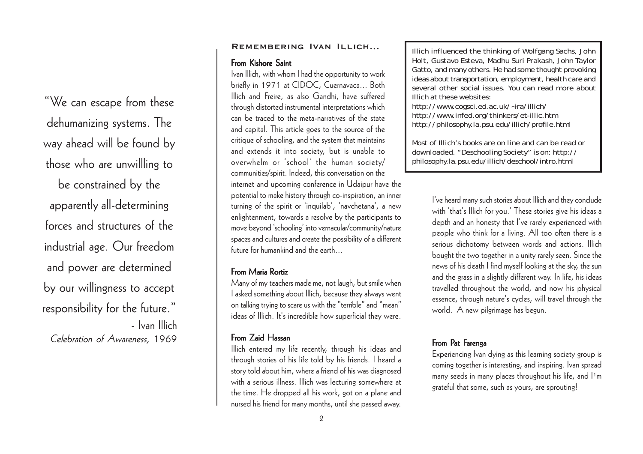"We can escape from these dehumanizing systems. The way ahead will be found by those who are unwillling to be constrained by the apparently all-determining forces and structures of the industrial age. Our freedom and power are determined by our willingness to accept responsibility for the future." - Ivan Illich Celebration of Awareness, 1969

#### **Remembering Ivan Illich...**

# From Kishore Saint

Ivan Illich, with whom I had the opportunity to work briefly in 1971 at CIDOC, Cuernavaca... Both Illich and Freire, as also Gandhi, have suffered through distorted instrumental interpretations which can be traced to the meta-narratives of the state and capital. This article goes to the source of the critique of schooling, and the system that maintains and extends it into society, but is unable to overwhelm or 'school' the human society/ communities/spirit. Indeed, this conversation on the internet and upcoming conference in Udaipur have the potential to make history through co-inspiration, an inner turning of the spirit or 'inquilab', 'navchetana', a new enlightenment, towards a resolve by the participants to move beyond 'schooling' into vernacular/community/nature spaces and cultures and create the possibility of a different future for humankind and the earth...

# From Maria Rortiz

Many of my teachers made me, not laugh, but smile when I asked something about Illich, because they always went on talking trying to scare us with the "terrible" and "mean" ideas of Illich. It's incredible how superficial they were.

# From Zaid Hassan

Illich entered my life recently, through his ideas and through stories of his life told by his friends. I heard a story told about him, where a friend of his was diagnosed with a serious illness. Illich was lecturing somewhere at the time. He dropped all his work, got on a plane and nursed his friend for many months, until she passed away.

Illich influenced the thinking of Wolfgang Sachs, John Holt, Gustavo Esteva, Madhu Suri Prakash, John Taylor Gatto, and many others. He had some thought provoking ideas about transportation, employment, health care and several other social issues. You can read more about Illich at these websites:

http://www.cogsci.ed.ac.uk/~ira/illich/ http://www.infed.org/thinkers/et-illic.htm http://philosophy.la.psu.edu/illich/profile.html

Most of Illich's books are on line and can be read or downloaded. "Deschooling Society" is on: http:// philosophy.la.psu.edu/illich/deschool/intro.html

> I've heard many such stories about Illich and they conclude with 'that's Illich for you.' These stories give his ideas a depth and an honesty that I've rarely experienced with people who think for a living. All too often there is a serious dichotomy between words and actions. Illich bought the two together in a unity rarely seen. Since the news of his death I find myself looking at the sky, the sun and the grass in a slightly different way. In life, his ideas travelled throughout the world, and now his physical essence, through nature's cycles, will travel through the world. A new pilgrimage has begun.

# From Pat Farenga

Experiencing Ivan dying as this learning society group is coming together is interesting, and inspiring. Ivan spread many seeds in many places throughout his life, and  $1<sup>1</sup>m$ grateful that some, such as yours, are sprouting!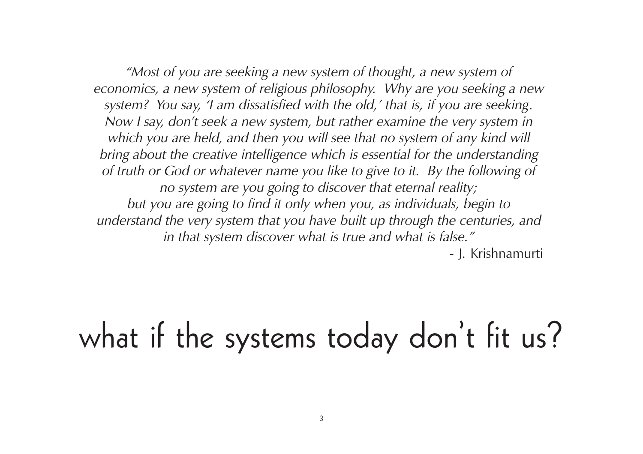"Most of you are seeking a new system of thought, a new system of economics, a new system of religious philosophy. Why are you seeking a new system? You say, 'I am dissatisfied with the old,' that is, if you are seeking. Now I say, don't seek a new system, but rather examine the very system in which you are held, and then you will see that no system of any kind will bring about the creative intelligence which is essential for the understanding of truth or God or whatever name you like to give to it. By the following of no system are you going to discover that eternal reality; but you are going to find it only when you, as individuals, begin to understand the very system that you have built up through the centuries, and in that system discover what is true and what is false." - J. Krishnamurti

# what if the systems today don't fit us?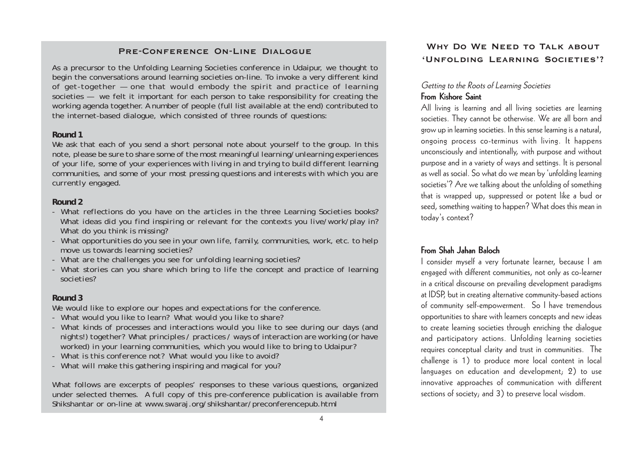#### **Pre-Conference On-Line Dialogue**

As a precursor to the Unfolding Learning Societies conference in Udaipur, we thought to begin the conversations around learning societies on-line. To invoke a very different kind of get-together — one that would embody the spirit and practice of learning societies — we felt it important for each person to take responsibility for creating the working agenda together. A number of people (full list available at the end) contributed to the internet-based dialogue, which consisted of three rounds of questions:

#### **Round 1**

*We ask that each of you send a short personal note about yourself to the group. In this note, please be sure to share some of the most meaningful learning/unlearning experiences of your life, some of your experiences with living in and trying to build different learning communities, and some of your most pressing questions and interests with which you are currently engaged.*

#### **Round 2**

- *- What reflections do you have on the articles in the three Learning Societies books? What ideas did you find inspiring or relevant for the contexts you live/work/play in? What do you think is missing?*
- *- What opportunities do you see in your own life, family, communities, work, etc. to help move us towards learning societies?*
- *- What are the challenges you see for unfolding learning societies?*
- *- What stories can you share which bring to life the concept and practice of learning societies?*

#### **Round 3**

*We would like to explore our hopes and expectations for the conference.*

- *- What would you like to learn? What would you like to share?*
- *- What kinds of processes and interactions would you like to see during our days (and nights!) together? What principles / practices / ways of interaction are working (or have worked) in your learning communities, which you would like to bring to Udaipur?*
- *- What is this conference not? What would you like to avoid?*
- *- What will make this gathering inspiring and magical for you?*

What follows are excerpts of peoples' responses to these various questions, organized under selected themes. A full copy of this pre-conference publication is available from Shikshantar or on-line at www.swaraj.org/shikshantar/preconferencepub.html

# **Why Do We Need to Talk about 'Unfolding Learning Societies'?**

# Getting to the Roots of Learning Societies From Kishore Saint

All living is learning and all living societies are learning societies. They cannot be otherwise. We are all born and grow up in learning societies. In this sense learning is a natural, ongoing process co-terminus with living. It happens unconsciously and intentionally, with purpose and without purpose and in a variety of ways and settings. It is personal as well as social. So what do we mean by 'unfolding learning societies'? Are we talking about the unfolding of something that is wrapped up, suppressed or potent like a bud or seed, something waiting to happen? What does this mean in today's context?

#### From Shah Jahan Baloch

I consider myself a very fortunate learner, because I am engaged with different communities, not only as co-learner in a critical discourse on prevailing development paradigms at IDSP, but in creating alternative community-based actions of community self-empowerment. So I have tremendous opportunities to share with learners concepts and new ideas to create learning societies through enriching the dialogue and participatory actions. Unfolding learning societies requires conceptual clarity and trust in communities. The challenge is 1) to produce more local content in local languages on education and development; 2) to use innovative approaches of communication with different sections of society; and 3) to preserve local wisdom.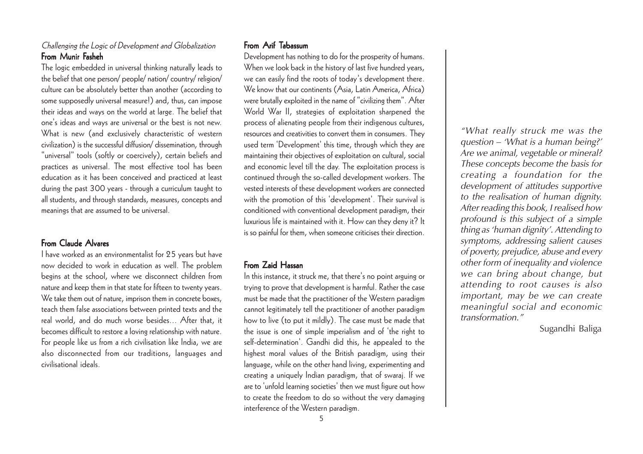# Challenging the Logic of Development and Globalization From Munir Fasheh

The logic embedded in universal thinking naturally leads to the belief that one person/ people/ nation/ country/ religion/ culture can be absolutely better than another (according to some supposedly universal measure!) and, thus, can impose their ideas and ways on the world at large. The belief that one's ideas and ways are universal or the best is not new. What is new (and exclusively characteristic of western civilization) is the successful diffusion/ dissemination, through "universal" tools (softly or coercively), certain beliefs and practices as universal. The most effective tool has been education as it has been conceived and practiced at least during the past 300 years - through a curriculum taught to all students, and through standards, measures, concepts and meanings that are assumed to be universal.

# From Claude Alvares

I have worked as an environmentalist for 25 years but have now decided to work in education as well. The problem begins at the school, where we disconnect children from nature and keep them in that state for fifteen to twenty years. We take them out of nature, imprison them in concrete boxes, teach them false associations between printed texts and the real world, and do much worse besides... After that, it becomes difficult to restore a loving relationship with nature. For people like us from a rich civilisation like India, we are also disconnected from our traditions, languages and civilisational ideals.

# From Arif Tabassum

Development has nothing to do for the prosperity of humans. When we look back in the history of last five hundred years, we can easily find the roots of today's development there. We know that our continents (Asia, Latin America, Africa) were brutally exploited in the name of "civilizing them". After World War II, strategies of exploitation sharpened the process of alienating people from their indigenous cultures, resources and creativities to convert them in consumers. They used term 'Development' this time, through which they are maintaining their objectives of exploitation on cultural, social and economic level till the day. The exploitation process is continued through the so-called development workers. The vested interests of these development workers are connected with the promotion of this 'development'. Their survival is conditioned with conventional development paradigm, their luxurious life is maintained with it. How can they deny it? It is so painful for them, when someone criticises their direction.

# From Zaid Hassan

In this instance, it struck me, that there's no point arguing or trying to prove that development is harmful. Rather the case must be made that the practitioner of the Western paradigm cannot legitimately tell the practitioner of another paradigm how to live (to put it mildly). The case must be made that the issue is one of simple imperialism and of 'the right to self-determination'. Gandhi did this, he appealed to the highest moral values of the British paradigm, using their language, while on the other hand living, experimenting and creating a uniquely Indian paradigm, that of swaraj. If we are to 'unfold learning societies' then we must figure out how to create the freedom to do so without the very damaging interference of the Western paradigm.

"What really struck me was the question – 'What is a human being?' Are we animal, vegetable or mineral? These concepts become the basis for creating a foundation for the development of attitudes supportive to the realisation of human dignity. After reading this book, I realised how profound is this subject of a simple thing as 'human dignity'. Attending to symptoms, addressing salient causes of poverty, prejudice, abuse and every other form of inequality and violence we can bring about change, but attending to root causes is also important, may be we can create meaningful social and economic transformation."

Sugandhi Baliga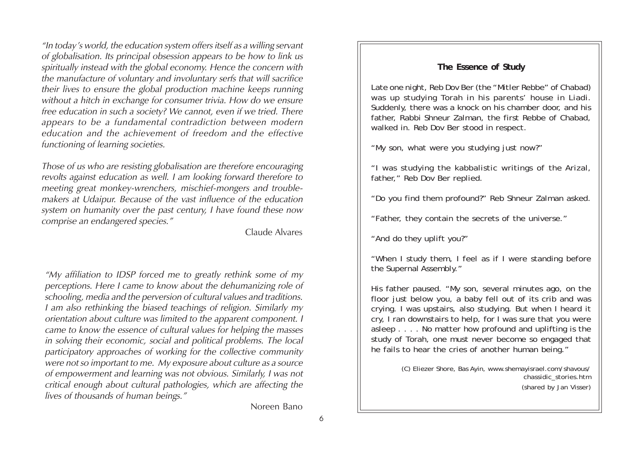"In today's world, the education system offers itself as a willing servant of globalisation. Its principal obsession appears to be how to link us spiritually instead with the global economy. Hence the concern with the manufacture of voluntary and involuntary serfs that will sacrifice their lives to ensure the global production machine keeps running without a hitch in exchange for consumer trivia. How do we ensure free education in such a society? We cannot, even if we tried. There appears to be a fundamental contradiction between modern education and the achievement of freedom and the effective functioning of learning societies.

Those of us who are resisting globalisation are therefore encouraging revolts against education as well. I am looking forward therefore to meeting great monkey-wrenchers, mischief-mongers and troublemakers at Udaipur. Because of the vast influence of the education system on humanity over the past century, I have found these now comprise an endangered species."

Claude Alvares

"My affiliation to IDSP forced me to greatly rethink some of my perceptions. Here I came to know about the dehumanizing role of schooling, media and the perversion of cultural values and traditions. I am also rethinking the biased teachings of religion. Similarly my orientation about culture was limited to the apparent component. I came to know the essence of cultural values for helping the masses in solving their economic, social and political problems. The local participatory approaches of working for the collective community were not so important to me. My exposure about culture as a source of empowerment and learning was not obvious. Similarly, I was not critical enough about cultural pathologies, which are affecting the lives of thousands of human beings."

Noreen Bano

#### **The Essence of Study**

Late one night, Reb Dov Ber (the "Mitler Rebbe" of Chabad) was up studying Torah in his parents' house in Liadi. Suddenly, there was a knock on his chamber door, and his father, Rabbi Shneur Zalman, the first Rebbe of Chabad, walked in. Reb Dov Ber stood in respect.

"My son, what were you studying just now?"

"I was studying the kabbalistic writings of the Arizal, father," Reb Dov Ber replied.

"Do you find them profound?" Reb Shneur Zalman asked.

"Father, they contain the secrets of the universe."

"And do they uplift you?"

"When I study them, I feel as if I were standing before the Supernal Assembly."

His father paused. "My son, several minutes ago, on the floor just below you, a baby fell out of its crib and was crying. I was upstairs, also studying. But when I heard it cry, I ran downstairs to help, for I was sure that you were asleep . . . . No matter how profound and uplifting is the study of Torah, one must never become so engaged that he fails to hear the cries of another human being."

> (C) Eliezer Shore, Bas Ayin, www.shemayisrael.com/shavous/ chassidic\_stories.htm (shared by Jan Visser)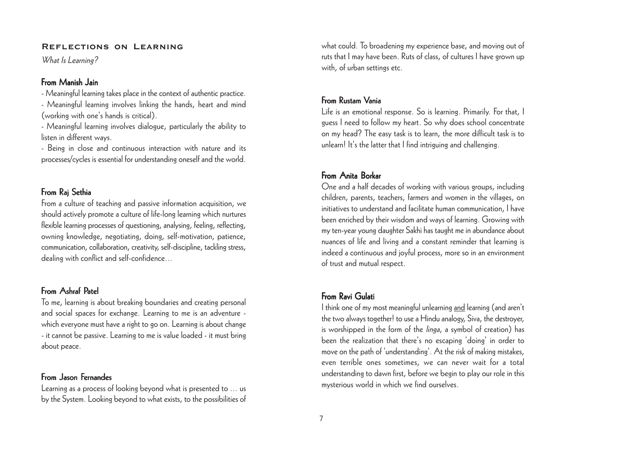#### **Reflections on Learning**

What Is Learning?

### From Manish Jain

- Meaningful learning takes place in the context of authentic practice. - Meaningful learning involves linking the hands, heart and mind (working with one's hands is critical).

- Meaningful learning involves dialogue, particularly the ability to listen in different ways.

- Being in close and continuous interaction with nature and its processes/cycles is essential for understanding oneself and the world.

# From Rai Sethia

From a culture of teaching and passive information acquisition, we should actively promote a culture of life-long learning which nurtures flexible learning processes of questioning, analysing, feeling, reflecting, owning knowledge, negotiating, doing, self-motivation, patience, communication, collaboration, creativity, self-discipline, tackling stress, dealing with conflict and self-confidence...

#### From Ashraf Patel

To me, learning is about breaking boundaries and creating personal and social spaces for exchange. Learning to me is an adventure which everyone must have a right to go on. Learning is about change - it cannot be passive. Learning to me is value loaded - it must bring about peace.

#### From Jason Fernandes

Learning as a process of looking beyond what is presented to ... us by the System. Looking beyond to what exists, to the possibilities of what could. To broadening my experience base, and moving out of ruts that I may have been. Ruts of class, of cultures I have grown up with, of urban settings etc.

#### From Rustam Vania

Life is an emotional response. So is learning. Primarily. For that, guess I need to follow my heart. So why does school concentrate on my head? The easy task is to learn, the more difficult task is to unlearn! It's the latter that I find intriguing and challenging.

### From Anita Borkar

One and a half decades of working with various groups, including children, parents, teachers, farmers and women in the villages, on initiatives to understand and facilitate human communication, I have been enriched by their wisdom and ways of learning. Growing with my ten-year young daughter Sakhi has taught me in abundance about nuances of life and living and a constant reminder that learning is indeed a continuous and joyful process, more so in an environment of trust and mutual respect.

# From Ravi Gulati

I think one of my most meaningful unlearning and learning (and aren't the two always together! to use a Hindu analogy, Siva, the destroyer, is worshipped in the form of the linga, a symbol of creation) has been the realization that there's no escaping 'doing' in order to move on the path of 'understanding'. At the risk of making mistakes, even terrible ones sometimes, we can never wait for a total understanding to dawn first, before we begin to play our role in this mysterious world in which we find ourselves.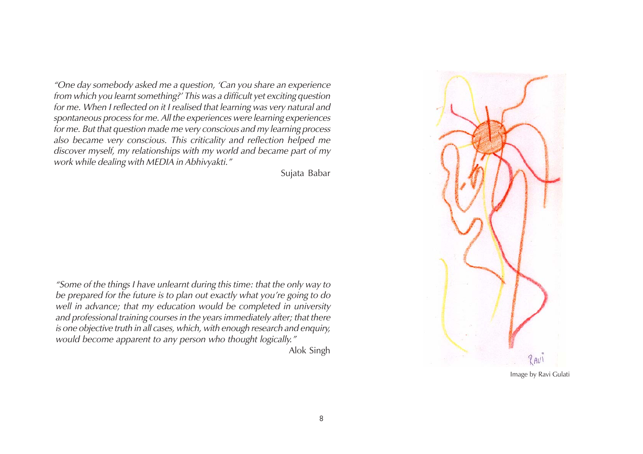"One day somebody asked me a question, 'Can you share an experience from which you learnt something?' This was a difficult yet exciting question for me. When I reflected on it I realised that learning was very natural and spontaneous process for me. All the experiences were learning experiences for me. But that question made me very conscious and my learning process also became very conscious. This criticality and reflection helped me discover myself, my relationships with my world and became part of my work while dealing with MEDIA in Abhivyakti."

Sujata Babar

"Some of the things I have unlearnt during this time: that the only way to be prepared for the future is to plan out exactly what you're going to do well in advance; that my education would be completed in university and professional training courses in the years immediately after; that there is one objective truth in all cases, which, with enough research and enquiry, would become apparent to any person who thought logically." Alok Singh



Image by Ravi Gulati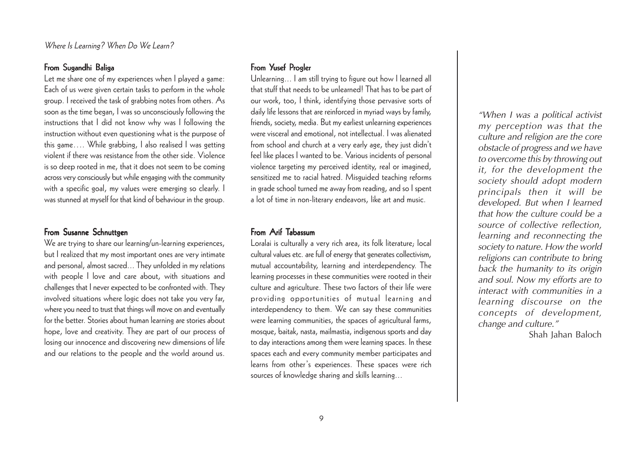# From Sugandhi Baliga

Let me share one of my experiences when I played a game: Each of us were given certain tasks to perform in the whole group. I received the task of grabbing notes from others. As soon as the time began, I was so unconsciously following the instructions that I did not know why was I following the instruction without even questioning what is the purpose of this game…. While grabbing, I also realised I was getting violent if there was resistance from the other side. Violence is so deep rooted in me, that it does not seem to be coming across very consciously but while engaging with the community with a specific goal, my values were emerging so clearly. I was stunned at myself for that kind of behaviour in the group.

# From Susanne Schnuttgen

We are trying to share our learning/un-learning experiences, but I realized that my most important ones are very intimate and personal, almost sacred... They unfolded in my relations with people I love and care about, with situations and challenges that I never expected to be confronted with. They involved situations where logic does not take you very far, where you need to trust that things will move on and eventually for the better. Stories about human learning are stories about hope, love and creativity. They are part of our process of losing our innocence and discovering new dimensions of life and our relations to the people and the world around us.

# From Yusef Progler

Unlearning... I am still trying to figure out how I learned all that stuff that needs to be unlearned! That has to be part of our work, too, I think, identifying those pervasive sorts of daily life lessons that are reinforced in myriad ways by family, friends, society, media. But my earliest unlearning experiences were visceral and emotional, not intellectual. I was alienated from school and church at a very early age, they just didn't feel like places I wanted to be. Various incidents of personal violence targeting my perceived identity, real or imagined, sensitized me to racial hatred. Misguided teaching reforms in grade school turned me away from reading, and so I spent a lot of time in non-literary endeavors, like art and music.

#### From Arif Tabassum

Loralai is culturally a very rich area, its folk literature; local cultural values etc. are full of energy that generates collectivism, mutual accountability, learning and interdependency. The learning processes in these communities were rooted in their culture and agriculture. These two factors of their life were providing opportunities of mutual learning and interdependency to them. We can say these communities were learning communities, the spaces of agricultural farms, mosque, baitak, nasta, mailmastia, indigenous sports and day to day interactions among them were learning spaces. In these spaces each and every community member participates and learns from other's experiences. These spaces were rich sources of knowledge sharing and skills learning...

"When I was a political activist my perception was that the culture and religion are the core obstacle of progress and we have to overcome this by throwing out it, for the development the society should adopt modern principals then it will be developed. But when I learned that how the culture could be a source of collective reflection, learning and reconnecting the society to nature. How the world religions can contribute to bring back the humanity to its origin and soul. Now my efforts are to interact with communities in a learning discourse on the concepts of development, change and culture."

Shah Jahan Baloch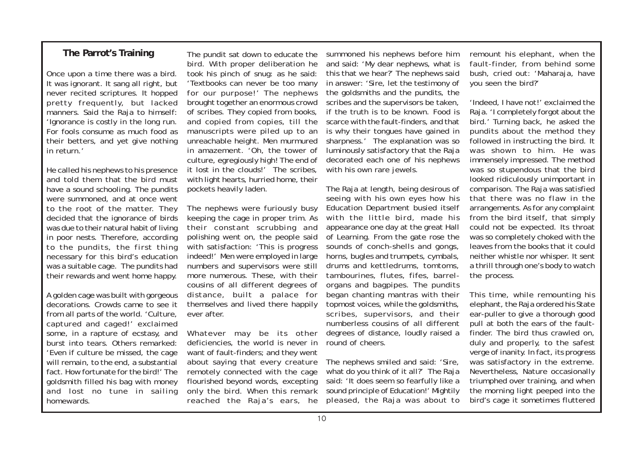Once upon a time there was a bird. It was ignorant. It sang all right, but never recited scriptures. It hopped pretty frequently, but lacked manners. Said the Raja to himself: 'Ignorance is costly in the long run. For fools consume as much food as their betters, and yet give nothing in return.'

He called his nephews to his presence and told them that the bird must have a sound schooling. The pundits were summoned, and at once went to the root of the matter. They decided that the ignorance of birds was due to their natural habit of living in poor nests. Therefore, according to the pundits, the first thing necessary for this bird's education was a suitable cage. The pundits had their rewards and went home happy.

A golden cage was built with gorgeous decorations. Crowds came to see it from all parts of the world. 'Culture, captured and caged!' exclaimed some, in a rapture of ecstasy, and burst into tears. Others remarked: 'Even if culture be missed, the cage will remain, to the end, a substantial fact. How fortunate for the bird!' The goldsmith filled his bag with money and lost no tune in sailing homewards.

bird. With proper deliberation he took his pinch of snug: as he said: 'Textbooks can never be too many for our purpose!' The nephews brought together an enormous crowd of scribes. They copied from books, and copied from copies, till the manuscripts were piled up to an unreachable height. Men murmured in amazement. 'Oh, the tower of culture, egregiously high! The end of it lost in the clouds!' The scribes, with light hearts, hurried home, their pockets heavily laden.

The nephews were furiously busy keeping the cage in proper trim. As their constant scrubbing and polishing went on, the people said with satisfaction: 'This is progress indeed!' Men were employed in large numbers and supervisors were still more numerous. These, with their cousins of all different degrees of distance, built a palace for themselves and lived there happily ever after.

Whatever may be its other deficiencies, the world is never in want of fault-finders; and they went about saying that every creature remotely connected with the cage flourished beyond words, excepting only the bird. When this remark reached the Raja's ears, he

The Parrot's Training The pundit sat down to educate the summoned his nephews before him remount his elephant, when the summoned his nephews before him and said: 'My dear nephews, what is this that we hear?' The nephews said in answer: 'Sire, let the testimony of the goldsmiths and the pundits, the scribes and the supervisors be taken, if the truth is to be known. Food is scarce with the fault-finders, and that is why their tongues have gained in sharpness.' The explanation was so luminously satisfactory that the Raja decorated each one of his nephews with his own rare jewels.

> The Raja at length, being desirous of seeing with his own eyes how his Education Department busied itself with the little bird, made his appearance one day at the great Hall of Learning. From the gate rose the sounds of conch-shells and gongs, horns, bugles and trumpets, cymbals, drums and kettledrums, tomtoms, tambourines, flutes, fifes, barrelorgans and bagpipes. The pundits began chanting mantras with their topmost voices, while the goldsmiths, scribes, supervisors, and their numberless cousins of all different degrees of distance, loudly raised a round of cheers.

> The nephews smiled and said: 'Sire, what do you think of it all?' The Raja said: 'It does seem so fearfully like a sound principle of Education!' Mightily pleased, the Raja was about to

fault-finder, from behind some bush, cried out: 'Maharaja, have you seen the bird?'

'Indeed, I have not!' exclaimed the Raja. 'I completely forgot about the bird.' Turning back, he asked the pundits about the method they followed in instructing the bird. It was shown to him. He was immensely impressed. The method was so stupendous that the bird looked ridiculously unimportant in comparison. The Raja was satisfied that there was no flaw in the arrangements. As for any complaint from the bird itself, that simply could not be expected. Its throat was so completely choked with the leaves from the books that it could neither whistle nor whisper. It sent a thrill through one's body to watch the process.

This time, while remounting his elephant, the Raja ordered his State ear-puller to give a thorough good pull at both the ears of the faultfinder. The bird thus crawled on, duly and properly, to the safest verge of inanity. In fact, its progress was satisfactory in the extreme. Nevertheless, Nature occasionally triumphed over training, and when the morning light peeped into the bird's cage it sometimes fluttered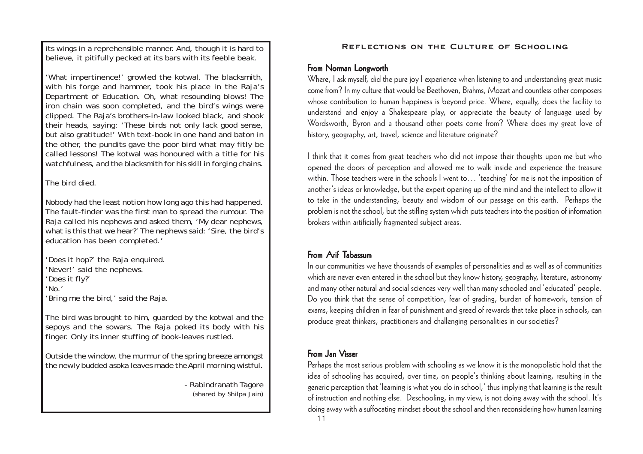its wings in a reprehensible manner. And, though it is hard to believe, it pitifully pecked at its bars with its feeble beak.

'What impertinence!' growled the kotwal. The blacksmith, with his forge and hammer, took his place in the Raja's Department of Education. Oh, what resounding blows! The iron chain was soon completed, and the bird's wings were clipped. The Raja's brothers-in-law looked black, and shook their heads, saying: 'These birds not only lack good sense, but also gratitude!' With text-book in one hand and baton in the other, the pundits gave the poor bird what may fitly be called lessons! The kotwal was honoured with a title for his watchfulness, and the blacksmith for his skill in forging chains.

The bird died.

Nobody had the least notion how long ago this had happened. The fault-finder was the first man to spread the rumour. The Raja called his nephews and asked them, 'My dear nephews, what is this that we hear?' The nephews said: 'Sire, the bird's education has been completed.'

'Does it hop?' the Raja enquired. 'Never!' said the nephews. 'Does it fly?' 'No.' 'Bring me the bird,' said the Raja.

The bird was brought to him, guarded by the kotwal and the sepoys and the sowars. The Raja poked its body with his finger. Only its inner stuffing of book-leaves rustled.

Outside the window, the murmur of the spring breeze amongst the newly budded asoka leaves made the April morning wistful.

> - Rabindranath Tagore (shared by Shilpa Jain)

#### **Reflections on the Culture of Schooling**

# From Norman Longworth

Where, I ask myself, did the pure joy I experience when listening to and understanding great music come from? In my culture that would be Beethoven, Brahms, Mozart and countless other composers whose contribution to human happiness is beyond price. Where, equally, does the facility to understand and enjoy a Shakespeare play, or appreciate the beauty of language used by Wordsworth, Byron and a thousand other poets come from? Where does my great love of history, geography, art, travel, science and literature originate?

I think that it comes from great teachers who did not impose their thoughts upon me but who opened the doors of perception and allowed me to walk inside and experience the treasure within. Those teachers were in the schools I went to… 'teaching' for me is not the imposition of another's ideas or knowledge, but the expert opening up of the mind and the intellect to allow it to take in the understanding, beauty and wisdom of our passage on this earth. Perhaps the problem is not the school, but the stifling system which puts teachers into the position of information brokers within artificially fragmented subject areas.

# From Arif Tabassum

In our communities we have thousands of examples of personalities and as well as of communities which are never even entered in the school but they know history, geography, literature, astronomy and many other natural and social sciences very well than many schooled and 'educated' people. Do you think that the sense of competition, fear of grading, burden of homework, tension of exams, keeping children in fear of punishment and greed of rewards that take place in schools, can produce great thinkers, practitioners and challenging personalities in our societies?

# From Jan Visser

Perhaps the most serious problem with schooling as we know it is the monopolistic hold that the idea of schooling has acquired, over time, on people's thinking about learning, resulting in the generic perception that 'learning is what you do in school,' thus implying that learning is the result of instruction and nothing else. Deschooling, in my view, is not doing away with the school. It's doing away with a suffocating mindset about the school and then reconsidering how human learning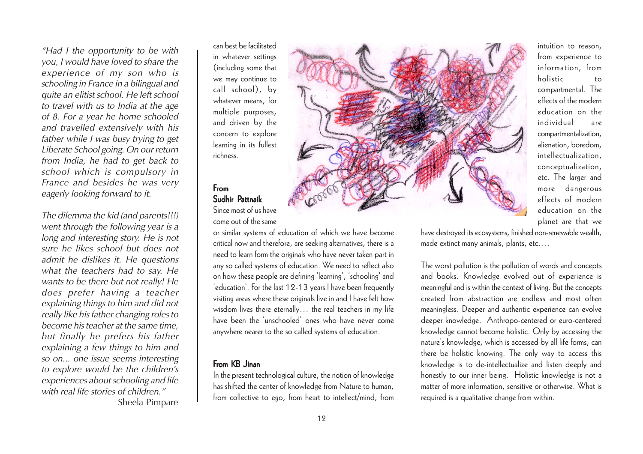"Had I the opportunity to be with you, I would have loved to share the experience of my son who is schooling in France in a bilingual and quite an elitist school. He left school to travel with us to India at the age of 8. For a year he home schooled and travelled extensively with his father while I was busy trying to get Liberate School going. On our return from India, he had to get back to school which is compulsory in France and besides he was very eagerly looking forward to it.

The dilemma the kid (and parents!!!) went through the following year is a long and interesting story. He is not sure he likes school but does not admit he dislikes it. He questions what the teachers had to say. He wants to be there but not really! He does prefer having a teacher explaining things to him and did not really like his father changing roles to become his teacher at the same time, but finally he prefers his father explaining a few things to him and so on... one issue seems interesting to explore would be the children's experiences about schooling and life with real life stories of children." Sheela Pimpare

can best be facilitated in whatever settings (including some that we may continue to call school), by whatever means, for multiple purposes, and driven by the concern to explore learning in its fullest richness.

#### From Sudhir Pattnaik

Since most of us have come out of the same

or similar systems of education of which we have become critical now and therefore, are seeking alternatives, there is a need to learn form the originals who have never taken part in any so called systems of education. We need to reflect also on how these people are defining 'learning', 'schooling' and 'education'. For the last 12-13 years I have been frequently visiting areas where these originals live in and I have felt how wisdom lives there eternally… the real teachers in my life have been the 'unschooled' ones who have never come anywhere nearer to the so called systems of education.

# From KB Jinan

In the present technological culture, the notion of knowledge has shifted the center of knowledge from Nature to human, from collective to ego, from heart to intellect/mind, from



intuition to reason, from experience to information, from holistic to compartmental. The effects of the modern education on the individual are compartmentalization, alienation, boredom, intellectualization, conceptualization, etc. The larger and more dangerous effects of modern education on the planet are that we

have destroyed its ecosystems, finished non-renewable wealth, made extinct many animals, plants, etc.…

The worst pollution is the pollution of words and concepts and books. Knowledge evolved out of experience is meaningful and is within the context of living. But the concepts created from abstraction are endless and most often meaningless. Deeper and authentic experience can evolve deeper knowledge. Anthropo-centered or euro-centered knowledge cannot become holistic. Only by accessing the nature's knowledge, which is accessed by all life forms, can there be holistic knowing. The only way to access this knowledge is to de-intellectualize and listen deeply and honestly to our inner being. Holistic knowledge is not a matter of more information, sensitive or otherwise. What is required is a qualitative change from within.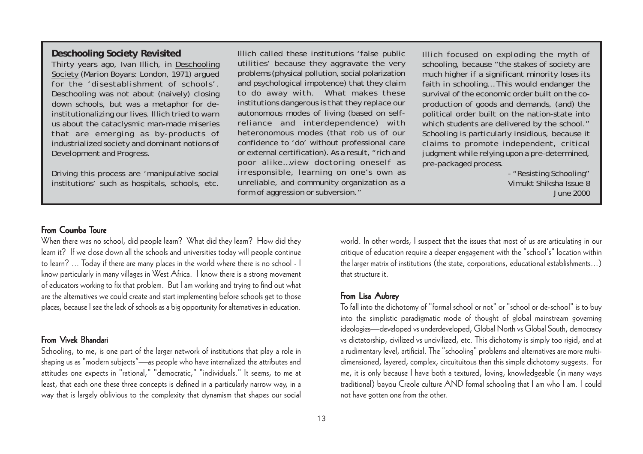#### **Deschooling Society Revisited**

Thirty years ago, Ivan Illich, in Deschooling Society (Marion Boyars: London, 1971) argued for the 'disestablishment of schools'. Deschooling was not about (naively) closing down schools, but was a metaphor for deinstitutionalizing our lives. Illich tried to warn us about the cataclysmic man-made miseries that are emerging as by-products of industrialized society and dominant notions of Development and Progress.

Driving this process are 'manipulative social institutions' such as hospitals, schools, etc. Illich called these institutions 'false public utilities' because they aggravate the very problems (physical pollution, social polarization and psychological impotence) that they claim to do away with. What makes these institutions dangerous is that they replace our autonomous modes of living (based on selfreliance and interdependence) with heteronomous modes (that rob us of our confidence to 'do' without professional care or external certification). As a result, "rich and poor alike…view doctoring oneself as irresponsible, learning on one's own as unreliable, and community organization as a form of aggression or subversion."

Illich focused on exploding the myth of schooling, because "the stakes of society are much higher if a significant minority loses its faith in schooling… This would endanger the survival of the economic order built on the coproduction of goods and demands, (and) the political order built on the nation-state into which students are delivered by the school." Schooling is particularly insidious, because it claims to promote independent, critical judgment while relying upon a pre-determined, pre-packaged process.

> - "Resisting Schooling" Vimukt Shiksha Issue 8 June 2000

# From Coumba Toure

When there was no school, did people learn? What did they learn? How did they learn it? If we close down all the schools and universities today will people continue to learn? ... Today if there are many places in the world where there is no school - I know particularly in many villages in West Africa. I know there is a strong movement of educators working to fix that problem. But I am working and trying to find out what are the alternatives we could create and start implementing before schools get to those places, because I see the lack of schools as a big opportunity for alternatives in education.

# From Vivek Bhandari

Schooling, to me, is one part of the larger network of institutions that play a role in shaping us as "modern subjects"—as people who have internalized the attributes and attitudes one expects in "rational," "democratic," "individuals." It seems, to me at least, that each one these three concepts is defined in a particularly narrow way, in a way that is largely oblivious to the complexity that dynamism that shapes our social world. In other words, I suspect that the issues that most of us are articulating in our critique of education require a deeper engagement with the "school's" location within the larger matrix of institutions (the state, corporations, educational establishments...) that structure it.

#### From Lisa Aubrey

To fall into the dichotomy of "formal school or not" or "school or de-school" is to buy into the simplistic paradigmatic mode of thought of global mainstream governing ideologies—developed vs underdeveloped, Global North vs Global South, democracy vs dictatorship, civilized vs uncivilized, etc. This dichotomy is simply too rigid, and at a rudimentary level, artificial. The "schooling" problems and alternatives are more multidimensioned, layered, complex, circuituitous than this simple dichotomy suggests. For me, it is only because I have both a textured, loving, knowledgeable (in many ways traditional) bayou Creole culture AND formal schooling that I am who I am. I could not have gotten one from the other.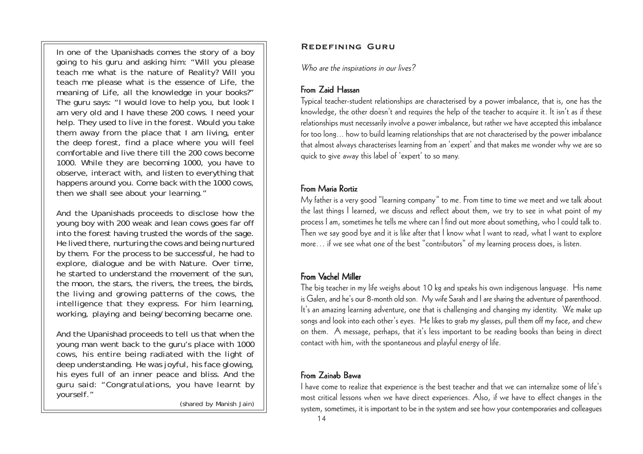In one of the Upanishads comes the story of a boy going to his guru and asking him: "Will you please teach me what is the nature of Reality? Will you teach me please what is the essence of Life, the meaning of Life, all the knowledge in your books?" The guru says: "I would love to help you, but look I am very old and I have these 200 cows. I need your help. They used to live in the forest. Would you take them away from the place that I am living, enter the deep forest, find a place where you will feel comfortable and live there till the 200 cows become 1000. While they are becoming 1000, you have to observe, interact with, and listen to everything that happens around you. Come back with the 1000 cows, then we shall see about your learning."

And the Upanishads proceeds to disclose how the young boy with 200 weak and lean cows goes far off into the forest having trusted the words of the sage. He lived there, nurturing the cows and being nurtured by them. For the process to be successful, he had to explore, dialogue and be with Nature. Over time, he started to understand the movement of the sun, the moon, the stars, the rivers, the trees, the birds, the living and growing patterns of the cows, the intelligence that they express. For him learning, working, playing and being/becoming became one.

And the Upanishad proceeds to tell us that when the young man went back to the guru's place with 1000 cows, his entire being radiated with the light of deep understanding. He was joyful, his face glowing, his eyes full of an inner peace and bliss. And the guru said: "Congratulations, you have learnt by yourself."

(shared by Manish Jain)

### **Redefining Guru**

Who are the inspirations in our lives?

# From Zaid Hassan

Typical teacher-student relationships are characterised by a power imbalance, that is, one has the knowledge, the other doesn't and requires the help of the teacher to acquire it. It isn't as if these relationships must necessarily involve a power imbalance, but rather we have accepted this imbalance for too long... how to build learning relationships that are not characterised by the power imbalance that almost always characterises learning from an 'expert' and that makes me wonder why we are so quick to give away this label of 'expert' to so many.

# From Maria Rortiz

My father is a very good "learning company" to me. From time to time we meet and we talk about the last things I learned, we discuss and reflect about them, we try to see in what point of my process I am, sometimes he tells me where can I find out more about something, who I could talk to. Then we say good bye and it is like after that I know what I want to read, what I want to explore more… if we see what one of the best "contributors" of my learning process does, is listen.

# From Vachel Miller

The big teacher in my life weighs about 10 kg and speaks his own indigenous language. His name is Galen, and he's our 8-month old son. My wife Sarah and I are sharing the adventure of parenthood. It's an amazing learning adventure, one that is challenging and changing my identity. We make up songs and look into each other's eyes. He likes to grab my glasses, pull them off my face, and chew on them. A message, perhaps, that it's less important to be reading books than being in direct contact with him, with the spontaneous and playful energy of life.

# From Zainab Bawa

I have come to realize that experience is the best teacher and that we can internalize some of life's most critical lessons when we have direct experiences. Also, if we have to effect changes in the system, sometimes, it is important to be in the system and see how your contemporaries and colleagues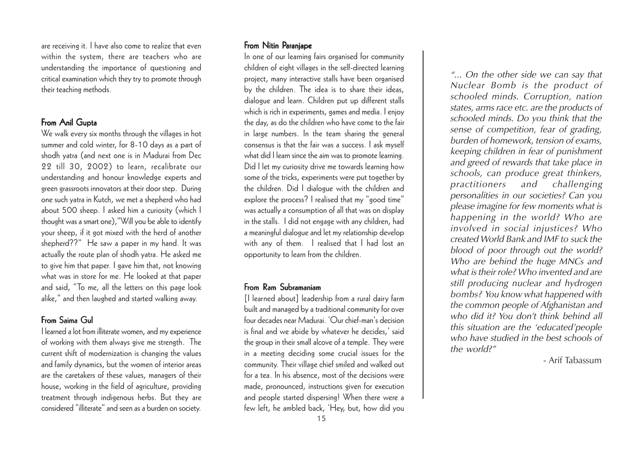are receiving it. I have also come to realize that even within the system, there are teachers who are understanding the importance of questioning and critical examination which they try to promote through their teaching methods.

# From Anil Gupta

We walk every six months through the villages in hot summer and cold winter, for 8-10 days as a part of shodh yatra (and next one is in Madurai from Dec 22 till 30, 2002) to learn, recalibrate our understanding and honour knowledge experts and green grassroots innovators at their door step. During one such yatra in Kutch, we met a shepherd who had about 500 sheep. I asked him a curiosity (which I thought was a smart one),"Will you be able to identify your sheep, if it got mixed with the herd of another shepherd??" He saw a paper in my hand. It was actually the route plan of shodh yatra. He asked me to give him that paper. I gave him that, not knowing what was in store for me. He looked at that paper and said, "To me, all the letters on this page look alike," and then laughed and started walking away.

# From Saima Gul

I learned a lot from illiterate women, and my experience of working with them always give me strength. The current shift of modernization is changing the values and family dynamics, but the women of interior areas are the caretakers of these values, managers of their house, working in the field of agriculture, providing treatment through indigenous herbs. But they are considered "illiterate" and seen as a burden on society.

# From Nitin Paranjape

In one of our learning fairs organised for community children of eight villages in the self-directed learning project, many interactive stalls have been organised by the children. The idea is to share their ideas, dialogue and learn. Children put up different stalls which is rich in experiments, games and media. I enjoy the day, as do the children who have come to the fair in large numbers. In the team sharing the general consensus is that the fair was a success. I ask myself what did I learn since the aim was to promote learning. Did I let my curiosity drive me towards learning how some of the tricks, experiments were put together by the children. Did I dialogue with the children and explore the process? I realised that my "good time" was actually a consumption of all that was on display in the stalls. I did not engage with any children, had a meaningful dialogue and let my relationship develop with any of them. I realised that I had lost an opportunity to learn from the children.

# From Ram Subramaniam

[I learned about] leadership from a rural dairy farm built and managed by a traditional community for over four decades near Madurai. 'Our chief-man's decision is final and we abide by whatever he decides,' said the group in their small alcove of a temple. They were in a meeting deciding some crucial issues for the community. Their village chief smiled and walked out for a tea. In his absence, most of the decisions were made, pronounced, instructions given for execution and people started dispersing! When there were a few left, he ambled back, 'Hey, but, how did you

"... On the other side we can say that Nuclear Bomb is the product of schooled minds. Corruption, nation states, arms race etc. are the products of schooled minds. Do you think that the sense of competition, fear of grading, burden of homework, tension of exams, keeping children in fear of punishment and greed of rewards that take place in schools, can produce great thinkers, practitioners and challenging personalities in our societies? Can you please imagine for few moments what is happening in the world? Who are involved in social injustices? Who created World Bank and IMF to suck the blood of poor through out the world? Who are behind the huge MNCs and what is their role? Who invented and are still producing nuclear and hydrogen bombs? You know what happened with the common people of Afghanistan and who did it? You don't think behind all this situation are the 'educated'people who have studied in the best schools of the world?"

- Arif Tabassum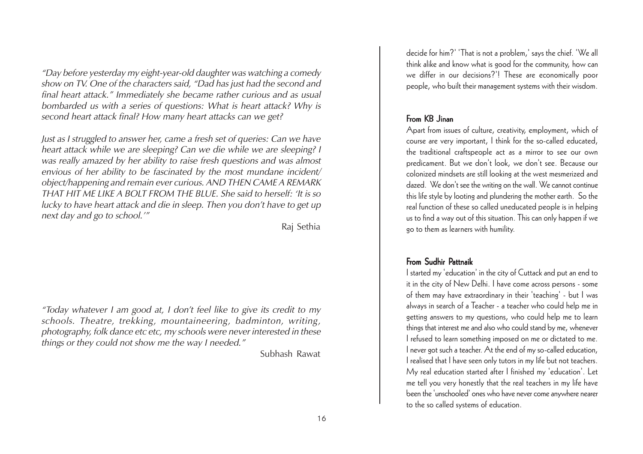"Day before yesterday my eight-year-old daughter was watching a comedy show on TV. One of the characters said, "Dad has just had the second and final heart attack." Immediately she became rather curious and as usual bombarded us with a series of questions: What is heart attack? Why is second heart attack final? How many heart attacks can we get?

Just as I struggled to answer her, came a fresh set of queries: Can we have heart attack while we are sleeping? Can we die while we are sleeping? I was really amazed by her ability to raise fresh questions and was almost envious of her ability to be fascinated by the most mundane incident/ object/happening and remain ever curious. AND THEN CAME A REMARK THAT HIT ME LIKE A BOLT FROM THE BLUE. She said to herself: 'It is so lucky to have heart attack and die in sleep. Then you don't have to get up next day and go to school.'"

Raj Sethia

"Today whatever I am good at, I don't feel like to give its credit to my schools. Theatre, trekking, mountaineering, badminton, writing, photography, folk dance etc etc, my schools were never interested in these things or they could not show me the way I needed."

Subhash Rawat

decide for him?' 'That is not a problem,' says the chief. 'We all think alike and know what is good for the community, how can we differ in our decisions?'! These are economically poor people, who built their management systems with their wisdom.

# From KB Jinan

Apart from issues of culture, creativity, employment, which of course are very important, I think for the so-called educated, the traditional craftspeople act as a mirror to see our own predicament. But we don't look, we don't see. Because our colonized mindsets are still looking at the west mesmerized and dazed. We don't see the writing on the wall. We cannot continue this life style by looting and plundering the mother earth. So the real function of these so called uneducated people is in helping us to find a way out of this situation. This can only happen if we go to them as learners with humility.

# From Sudhir Pattnaik

I started my 'education' in the city of Cuttack and put an end to it in the city of New Delhi. I have come across persons - some of them may have extraordinary in their 'teaching' - but I was always in search of a Teacher - a teacher who could help me in getting answers to my questions, who could help me to learn things that interest me and also who could stand by me, whenever I refused to learn something imposed on me or dictated to me. I never got such a teacher. At the end of my so-called education, I realised that I have seen only tutors in my life but not teachers. My real education started after I finished my 'education'. Let me tell you very honestly that the real teachers in my life have been the 'unschooled' ones who have never come anywhere nearer to the so called systems of education.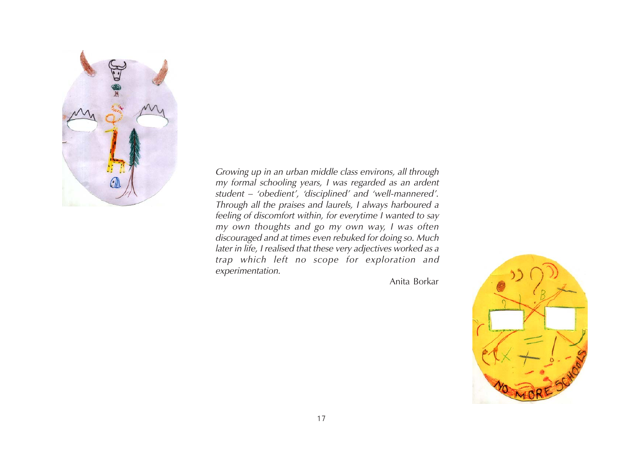

Growing up in an urban middle class environs, all through my formal schooling years, I was regarded as an ardent student – 'obedient', 'disciplined' and 'well-mannered'. Through all the praises and laurels, I always harboured a feeling of discomfort within, for everytime I wanted to say my own thoughts and go my own way, I was often discouraged and at times even rebuked for doing so. Much later in life, I realised that these very adjectives worked as a trap which left no scope for exploration and experimentation.

Anita Borkar

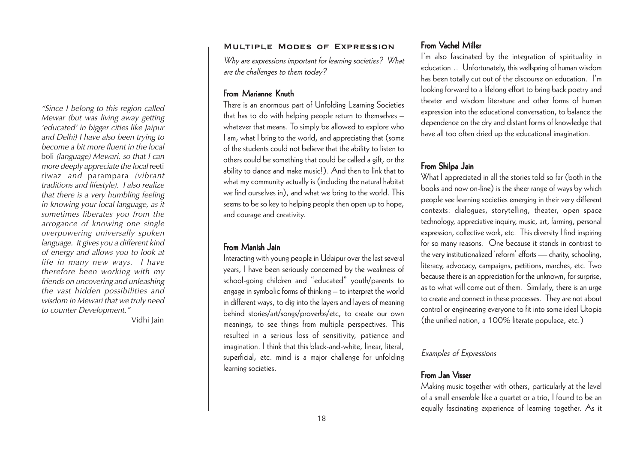"Since I belong to this region called Mewar (but was living away getting 'educated' in bigger cities like Jaipur and Delhi) I have also been trying to become a bit more fluent in the local boli (language) Mewari, so that I can more deeply appreciate the local reeti riwaz and parampara (vibrant traditions and lifestyle). I also realize that there is a very humbling feeling in knowing your local language, as it sometimes liberates you from the arrogance of knowing one single overpowering universally spoken language. It gives you a different kind of energy and allows you to look at life in many new ways. I have therefore been working with my friends on uncovering and unleashing the vast hidden possibilities and wisdom in Mewari that we truly need to counter Development."

Vidhi Jain

# MULTIPLE MODES OF EXPRESSION From Vachel Miller

Why are expressions important for learning societies? What are the challenges to them today?

### From Marianne Knuth

There is an enormous part of Unfolding Learning Societies that has to do with helping people return to themselves – whatever that means. To simply be allowed to explore who I am, what I bring to the world, and appreciating that (some of the students could not believe that the ability to listen to others could be something that could be called a gift, or the ability to dance and make music!). And then to link that to what my community actually is (including the natural habitat we find ourselves in), and what we bring to the world. This seems to be so key to helping people then open up to hope, and courage and creativity.

# From Manish Jain

Interacting with young people in Udaipur over the last several years, I have been seriously concerned by the weakness of school-going children and "educated" youth/parents to engage in symbolic forms of thinking – to interpret the world in different ways, to dig into the layers and layers of meaning behind stories/art/songs/proverbs/etc, to create our own meanings, to see things from multiple perspectives. This resulted in a serious loss of sensitivity, patience and imagination. I think that this black-and-white, linear, literal, superficial, etc. mind is a major challenge for unfolding learning societies.

I'm also fascinated by the integration of spirituality in education... Unfortunately, this wellspring of human wisdom has been totally cut out of the discourse on education. I'm looking forward to a lifelong effort to bring back poetry and theater and wisdom literature and other forms of human expression into the educational conversation, to balance the dependence on the dry and distant forms of knowledge that have all too often dried up the educational imagination.

# From Shilpa Jain

What I appreciated in all the stories told so far (both in the books and now on-line) is the sheer range of ways by which people see learning societies emerging in their very different contexts: dialogues, storytelling, theater, open space technology, appreciative inquiry, music, art, farming, personal expression, collective work, etc. This diversity I find inspiring for so many reasons. One because it stands in contrast to the very institutionalized 'reform' efforts — charity, schooling, literacy, advocacy, campaigns, petitions, marches, etc. Two because there is an appreciation for the unknown, for surprise, as to what will come out of them. Similarly, there is an urge to create and connect in these processes. They are not about control or engineering everyone to fit into some ideal Utopia (the unified nation, a 100% literate populace, etc.)

# Examples of Expressions

# From Jan Visser

Making music together with others, particularly at the level of a small ensemble like a quartet or a trio, I found to be an equally fascinating experience of learning together. As it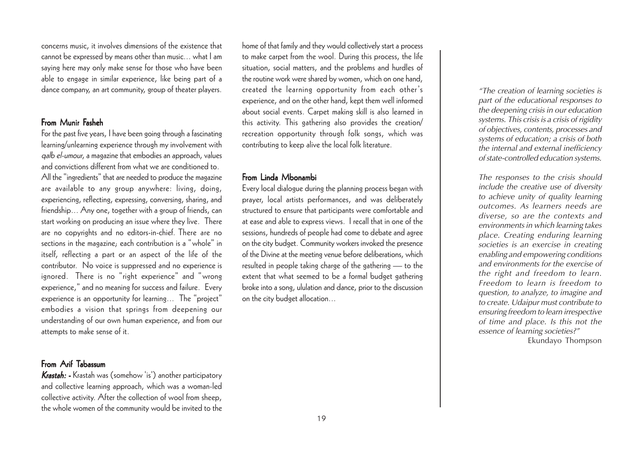concerns music, it involves dimensions of the existence that cannot be expressed by means other than music... what I am saying here may only make sense for those who have been able to engage in similar experience, like being part of a dance company, an art community, group of theater players.

#### From Munir Fasheh

For the past five years, I have been going through a fascinating learning/unlearning experience through my involvement with qalb el-umour, a magazine that embodies an approach, values and convictions different from what we are conditioned to. All the "ingredients" that are needed to produce the magazine are available to any group anywhere: living, doing, experiencing, reflecting, expressing, conversing, sharing, and friendship... Any one, together with a group of friends, can start working on producing an issue where they live. There are no copyrights and no editors-in-chief. There are no sections in the magazine; each contribution is a "whole" in itself, reflecting a part or an aspect of the life of the contributor. No voice is suppressed and no experience is ignored. There is no "right experience" and "wrong experience," and no meaning for success and failure. Every experience is an opportunity for learning... The "project" embodies a vision that springs from deepening our understanding of our own human experience, and from our attempts to make sense of it.

# From Arif Tabassum

Krastah: - Krastah was (somehow 'is') another participatory and collective learning approach, which was a woman-led collective activity. After the collection of wool from sheep, the whole women of the community would be invited to the home of that family and they would collectively start a process to make carpet from the wool. During this process, the life situation, social matters, and the problems and hurdles of the routine work were shared by women, which on one hand, created the learning opportunity from each other's experience, and on the other hand, kept them well informed about social events. Carpet making skill is also learned in this activity. This gathering also provides the creation/ recreation opportunity through folk songs, which was contributing to keep alive the local folk literature.

# From Linda Mbonambi

Every local dialogue during the planning process began with prayer, local artists performances, and was deliberately structured to ensure that participants were comfortable and at ease and able to express views. I recall that in one of the sessions, hundreds of people had come to debate and agree on the city budget. Community workers invoked the presence of the Divine at the meeting venue before deliberations, which resulted in people taking charge of the gathering — to the extent that what seemed to be a formal budget gathering broke into a song, ululation and dance, prior to the discussion on the city budget allocation...

"The creation of learning societies is part of the educational responses to the deepening crisis in our education systems. This crisis is a crisis of rigidity of objectives, contents, processes and systems of education; a crisis of both the internal and external inefficiency of state-controlled education systems.

The responses to the crisis should include the creative use of diversity to achieve unity of quality learning outcomes. As learners needs are diverse, so are the contexts and environments in which learning takes place. Creating enduring learning societies is an exercise in creating enabling and empowering conditions and environments for the exercise of the right and freedom to learn. Freedom to learn is freedom to question, to analyze, to imagine and to create. Udaipur must contribute to ensuring freedom to learn irrespective of time and place. Is this not the essence of learning societies?" Ekundayo Thompson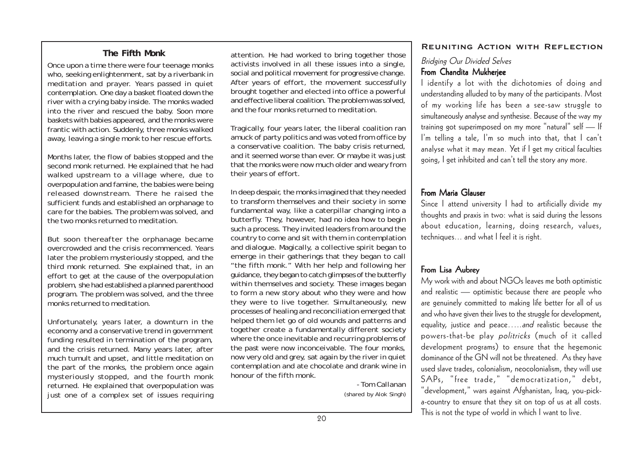#### **The Fifth Monk**

Once upon a time there were four teenage monks who, seeking enlightenment, sat by a riverbank in meditation and prayer. Years passed in quiet contemplation. One day a basket floated down the river with a crying baby inside. The monks waded into the river and rescued the baby. Soon more baskets with babies appeared, and the monks were frantic with action. Suddenly, three monks walked away, leaving a single monk to her rescue efforts.

Months later, the flow of babies stopped and the second monk returned. He explained that he had walked upstream to a village where, due to overpopulation and famine, the babies were being released downstream. There he raised the sufficient funds and established an orphanage to care for the babies. The problem was solved, and the two monks returned to meditation.

But soon thereafter the orphanage became overcrowded and the crisis recommenced. Years later the problem mysteriously stopped, and the third monk returned. She explained that, in an effort to get at the cause of the overpopulation problem, she had established a planned parenthood program. The problem was solved, and the three monks returned to meditation.

Unfortunately, years later, a downturn in the economy and a conservative trend in government funding resulted in termination of the program, and the crisis returned. Many years later, after much tumult and upset, and little meditation on the part of the monks, the problem once again mysteriously stopped, and the fourth monk returned. He explained that overpopulation was just one of a complex set of issues requiring

attention. He had worked to bring together those activists involved in all these issues into a single, social and political movement for progressive change. After years of effort, the movement successfully brought together and elected into office a powerful and effective liberal coalition. The problem was solved, and the four monks returned to meditation.

Tragically, four years later, the liberal coalition ran amuck of party politics and was voted from office by a conservative coalition. The baby crisis returned, and it seemed worse than ever. Or maybe it was just that the monks were now much older and weary from their years of effort.

In deep despair, the monks imagined that they needed to transform themselves and their society in some fundamental way, like a caterpillar changing into a butterfly. They, however, had no idea how to begin such a process. They invited leaders from around the country to come and sit with them in contemplation and dialogue. Magically, a collective spirit began to emerge in their gatherings that they began to call "the fifth monk." With her help and following her guidance, they began to catch glimpses of the butterfly within themselves and society. These images began to form a new story about who they were and how they were to live together. Simultaneously, new processes of healing and reconciliation emerged that helped them let go of old wounds and patterns and together create a fundamentally different society where the once inevitable and recurring problems of the past were now inconceivable. The four monks, now very old and grey, sat again by the river in quiet contemplation and ate chocolate and drank wine in honour of the fifth monk.

> - Tom Callanan (shared by Alok Singh)

#### **Reuniting Action with Reflection**

#### Bridging Our Divided Selves From Chandita Mukherjee

I identify a lot with the dichotomies of doing and understanding alluded to by many of the participants. Most of my working life has been a see-saw struggle to simultaneously analyse and synthesise. Because of the way my training got superimposed on my more "natural" self — If I'm telling a tale, I'm so much into that, that I can't analyse what it may mean. Yet if I get my critical faculties going, I get inhibited and can't tell the story any more.

# From Maria Glauser

Since I attend university I had to artificially divide my thoughts and praxis in two: what is said during the lessons about education, learning, doing research, values, techniques... and what I feel it is right.

# From Lisa Aubrey

My work with and about NGOs leaves me both optimistic and realistic — optimistic because there are people who are genuinely committed to making life better for all of us and who have given their lives to the struggle for development, equality, justice and peace…..and realistic because the powers-that-be play politricks (much of it called development programs) to ensure that the hegemonic dominance of the GN will not be threatened. As they have used slave trades, colonialism, neocolonialism, they will use SAPs, "free trade," "democratization," debt, "development," wars against Afghanistan, Iraq, you-picka-country to ensure that they sit on top of us at all costs. This is not the type of world in which I want to live.